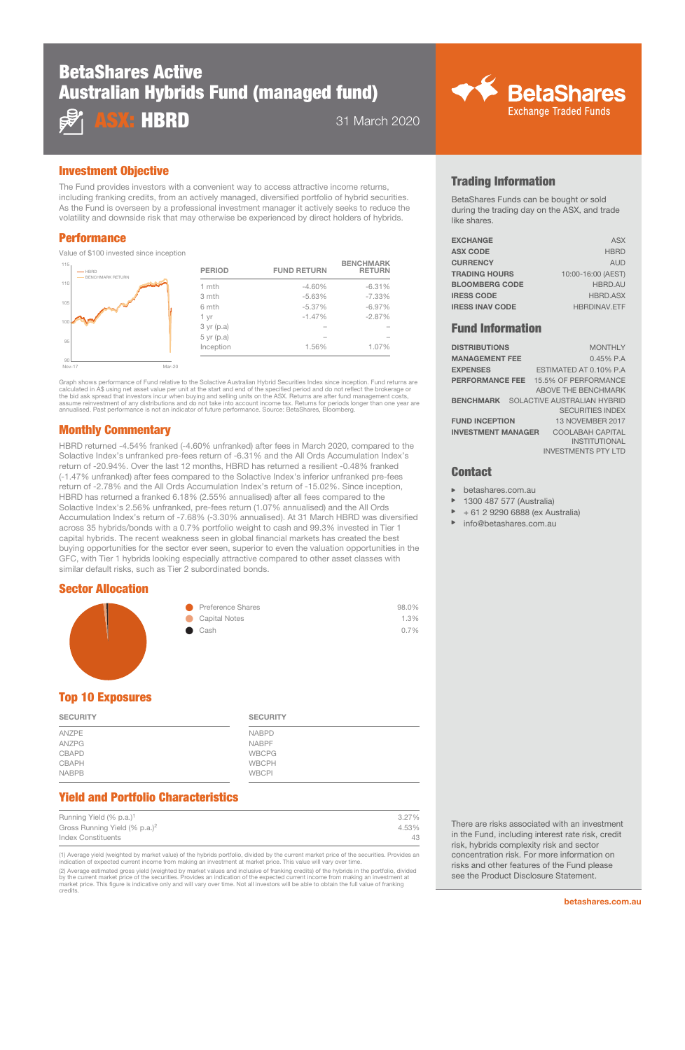# BetaShares Active Australian Hybrids Fund (managed fund)



**HBRD** 31 March 2020

## Investment Objective

The Fund provides investors with a convenient way to access attractive income returns, including franking credits, from an actively managed, diversified portfolio of hybrid securities. As the Fund is overseen by a professional investment manager it actively seeks to reduce the volatility and downside risk that may otherwise be experienced by direct holders of hybrids.

## Performance

Value of \$100 invested since inception

| 115.<br>$-$ HBRD<br>BENCHMARK RETURN |        | <b>PERIOD</b>  | <b>FUND RETURN</b> | <b>BENCHMARK</b><br><b>RETURN</b> |
|--------------------------------------|--------|----------------|--------------------|-----------------------------------|
| 110                                  |        | 1 mth          | $-4.60%$           | $-6.31%$                          |
|                                      |        | 3 mth          | $-5.63%$           | $-7.33%$                          |
| 105                                  |        | 6 mth          | $-5.37%$           | $-6.97%$                          |
|                                      |        | 1 yr           | $-1.47%$           | $-2.87%$                          |
|                                      |        | 3 yr (p.a)     |                    |                                   |
| 95                                   |        | $5$ yr $(p.a)$ |                    |                                   |
|                                      |        | Inception      | 1.56%              | 1.07%                             |
| 90                                   |        |                |                    |                                   |
| Nov-17                               | Mar-20 |                |                    |                                   |

Graph shows performance of Fund relative to the Solactive Australian Hybrid Securities Index since inception. Fund returns are calculated in A\$ using net asset value per unit at the start and end of the specified period and do not reflect the brokerage or<br>the bid ask spread that investors incur when buying and selling units on the ASX. Returns are assume reinvestment of any distributions and do not take into account income tax. Returns for periods longer than one year are<br>annualised. Past performance is not an indicator of future performance. Source: BetaShares, Blo

## Monthly Commentary

HBRD returned -4.54% franked (-4.60% unfranked) after fees in March 2020, compared to the Solactive Index's unfranked pre-fees return of -6.31% and the All Ords Accumulation Index's return of -20.94%. Over the last 12 months, HBRD has returned a resilient -0.48% franked (-1.47% unfranked) after fees compared to the Solactive Index's inferior unfranked pre-fees return of -2.78% and the All Ords Accumulation Index's return of -15.02%. Since inception, HBRD has returned a franked 6.18% (2.55% annualised) after all fees compared to the Solactive Index's 2.56% unfranked, pre-fees return (1.07% annualised) and the All Ords Accumulation Index's return of -7.68% (-3.30% annualised). At 31 March HBRD was diversified across 35 hybrids/bonds with a 0.7% portfolio weight to cash and 99.3% invested in Tier 1 capital hybrids. The recent weakness seen in global financial markets has created the best buying opportunities for the sector ever seen, superior to even the valuation opportunities in the GFC, with Tier 1 hybrids looking especially attractive compared to other asset classes with similar default risks, such as Tier 2 subordinated bonds.

#### Sector Allocation



## Top 10 Exposures

| <b>SECURITY</b> | <b>SECURITY</b> |
|-----------------|-----------------|
| ANZPE           | <b>NABPD</b>    |
| ANZPG           | <b>NABPF</b>    |
| CBAPD           | <b>WBCPG</b>    |
| CBAPH           | <b>WBCPH</b>    |
| <b>NABPB</b>    | <b>WBCPI</b>    |

# Yield and Portfolio Characteristics

| Running Yield (% p.a.) <sup>1</sup>       | 3.27% |
|-------------------------------------------|-------|
| Gross Running Yield (% p.a.) <sup>2</sup> | 4.53% |
| Index Constituents                        | 43    |

(1) Average yield (weighted by market value) of the hybrids portfolio, divided by the current market price of the securities. Provides an indication of expected current income from making an investment at market price. This value will vary over time

(2) Average estimated gross yield (weighted by market values and inclusive of franking credits) of the hybrids in the portfolio, divided<br>by the current market price of the securities. Provides an indication of the expected credits.

## Trading Information

BetaShares Funds can be bought or sold during the trading day on the ASX, and trade like shares.

**◆◆ BetaShares** 

**Exchange Traded Funds** 

| <b>EXCHANGE</b>        | <b>ASX</b>          |
|------------------------|---------------------|
| <b>ASX CODE</b>        | <b>HBRD</b>         |
| <b>CURRENCY</b>        | <b>AUD</b>          |
| <b>TRADING HOURS</b>   | 10:00-16:00 (AEST)  |
| <b>BLOOMBERG CODE</b>  | <b>HBRD.AU</b>      |
| <b>IRESS CODE</b>      | <b>HBRD.ASX</b>     |
| <b>IRESS INAV CODE</b> | <b>HBRDINAV.ETF</b> |
|                        |                     |

### Fund Information

| <b>DISTRIBUTIONS</b>                         | <b>MONTHLY</b>             |
|----------------------------------------------|----------------------------|
| <b>MANAGEMENT FEE</b>                        | $0.45\%$ P.A               |
| <b>EXPENSES</b>                              | ESTIMATED AT 0.10% P.A     |
| <b>PERFORMANCE FEE</b> 15.5% OF PERFORMANCE  | <b>ABOVE THE BENCHMARK</b> |
| <b>BENCHMARK</b> SOLACTIVE AUSTRALIAN HYBRID | <b>SECURITIES INDEX</b>    |
| <b>FUND INCEPTION</b>                        | <b>13 NOVEMBER 2017</b>    |
| <b>INVESTMENT MANAGER</b>                    | <b>COOLABAH CAPITAL</b>    |
|                                              | <b>INSTITUTIONAL</b>       |
|                                              | <b>INVESTMENTS PTY LTD</b> |

#### **Contact**

- betashares.com.au
- 1300 487 577 (Australia)
- + 61 2 9290 6888 (ex Australia)
- info@betashares.com.au

There are risks associated with an investment in the Fund, including interest rate risk, credit risk, hybrids complexity risk and sector concentration risk. For more information on risks and other features of the Fund please see the Product Disclosure Statement.